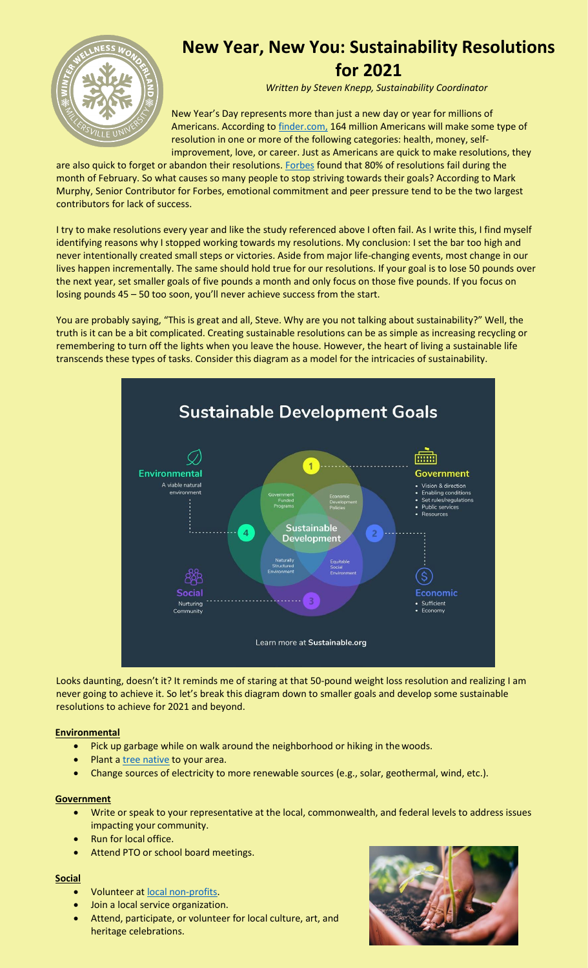

# **New Year, New You: Sustainability Resolutions for 2021**

*Written by Steven Knepp, Sustainability Coordinator*

New Year's Day represents more than just a new day or year for millions of Americans. According to [finder.com,](https://www.finder.com/new-years-resolution-statistics) 164 million Americans will make some type of resolution in one or more of the following categories: health, money, selfimprovement, love, or career. Just as Americans are quick to make resolutions, they

are also quick to forget or abandon their resolutions. [Forbes](https://www.forbes.com/sites/markmurphy/2020/02/11/this-is-the-month-when-new-years-resolutions-fail-heres-how-to-save-them/?sh=5da03b3e272f) found that 80% of resolutions fail during the month of February. So what causes so many people to stop striving towards their goals? According to Mark Murphy, Senior Contributor for Forbes, emotional commitment and peer pressure tend to be the two largest contributors for lack of success.

I try to make resolutions every year and like the study referenced above I often fail. As I write this, I find myself identifying reasons why I stopped working towards my resolutions. My conclusion: I set the bar too high and never intentionally created small steps or victories. Aside from major life-changing events, most change in our lives happen incrementally. The same should hold true for our resolutions. If your goal is to lose 50 pounds over the next year, set smaller goals of five pounds a month and only focus on those five pounds. If you focus on losing pounds 45 – 50 too soon, you'll never achieve success from the start.

You are probably saying, "This is great and all, Steve. Why are you not talking about sustainability?" Well, the truth is it can be a bit complicated. Creating sustainable resolutions can be as simple as increasing recycling or remembering to turn off the lights when you leave the house. However, the heart of living a sustainable life transcends these types of tasks. Consider this diagram as a model for the intricacies of sustainability.



Looks daunting, doesn't it? It reminds me of staring at that 50-pound weight loss resolution and realizing I am never going to achieve it. So let's break this diagram down to smaller goals and develop some sustainable resolutions to achieve for 2021 and beyond.

### **Environmental**

- Pick up garbage while on walk around the neighborhood or hiking in the woods.
- Plant a [tree native](https://lancastercountyplanning.org/DocumentCenter/View/156/Pennsylvania-Native-Trees-and-Shrubs) to your area.
- Change sources of electricity to more renewable sources (e.g., solar, geothermal, wind, etc.).

### **Government**

- Write or speak to your representative at the local, commonwealth, and federal levels to address issues impacting your community.
- Run for local office.
- Attend PTO or school board meetings.

### **Social**

- Volunteer at local [non-profits.](https://www.360lancaster.com/Non-ProfitOrganizations)
- Join a local service organization.
- Attend, participate, or volunteer for local culture, art, and heritage celebrations.